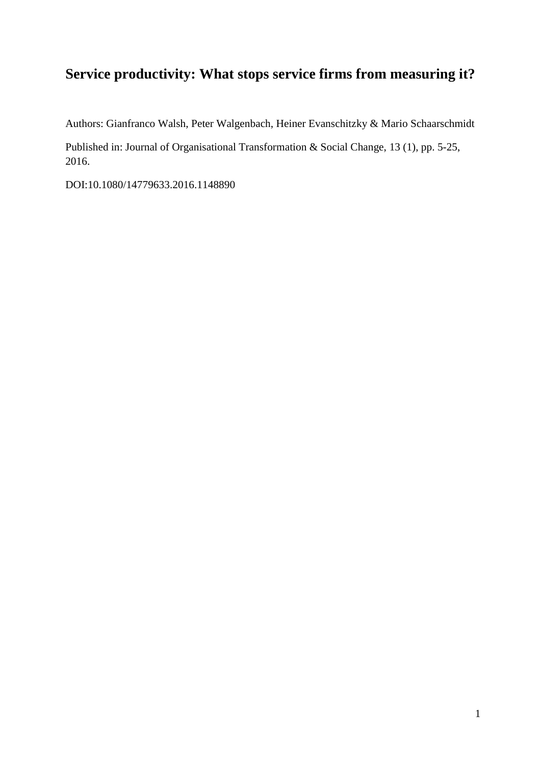# **Service productivity: What stops service firms from measuring it?**

Authors: Gianfranco Walsh, Peter Walgenbach, Heiner Evanschitzky & Mario Schaarschmidt

Published in: Journal of Organisational Transformation & Social Change, 13 (1), pp. 5-25, 2016.

DOI:10.1080/14779633.2016.1148890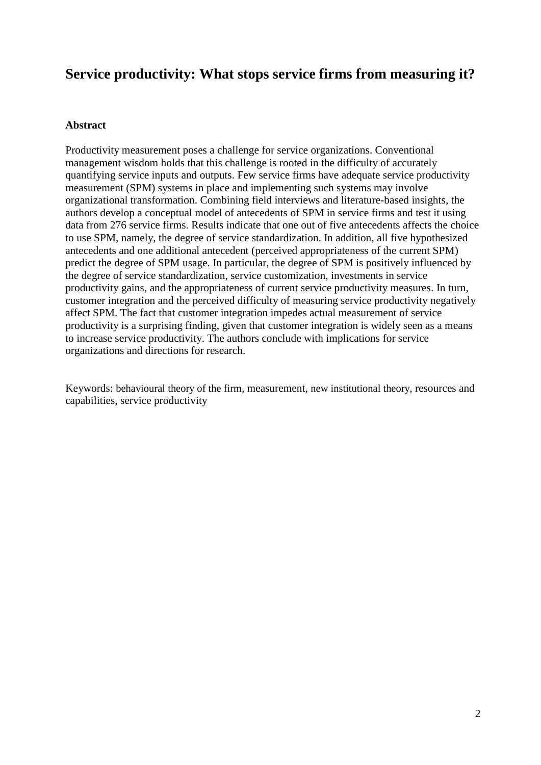# **Service productivity: What stops service firms from measuring it?**

### **Abstract**

Productivity measurement poses a challenge for service organizations. Conventional management wisdom holds that this challenge is rooted in the difficulty of accurately quantifying service inputs and outputs. Few service firms have adequate service productivity measurement (SPM) systems in place and implementing such systems may involve organizational transformation. Combining field interviews and literature-based insights, the authors develop a conceptual model of antecedents of SPM in service firms and test it using data from 276 service firms. Results indicate that one out of five antecedents affects the choice to use SPM, namely, the degree of service standardization. In addition, all five hypothesized antecedents and one additional antecedent (perceived appropriateness of the current SPM) predict the degree of SPM usage. In particular, the degree of SPM is positively influenced by the degree of service standardization, service customization, investments in service productivity gains, and the appropriateness of current service productivity measures. In turn, customer integration and the perceived difficulty of measuring service productivity negatively affect SPM. The fact that customer integration impedes actual measurement of service productivity is a surprising finding, given that customer integration is widely seen as a means to increase service productivity. The authors conclude with implications for service organizations and directions for research.

Keywords: behavioural theory of the firm, measurement, new institutional theory, resources and capabilities, service productivity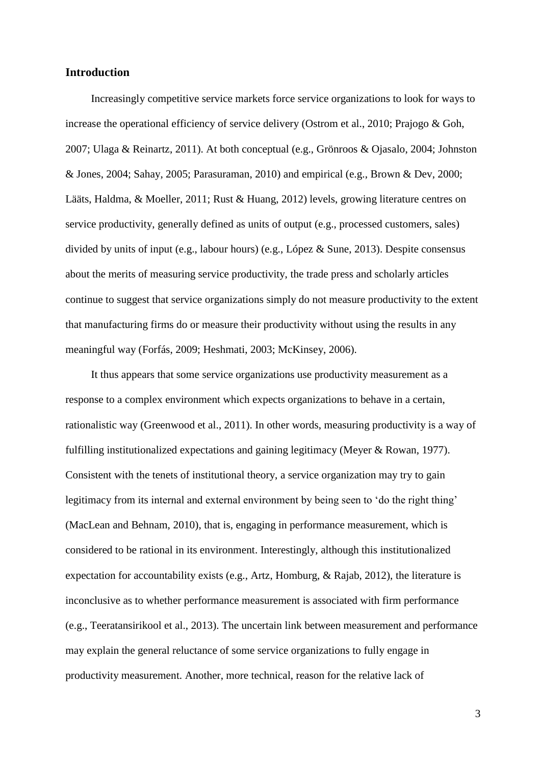## **Introduction**

Increasingly competitive service markets force service organizations to look for ways to increase the operational efficiency of service delivery (Ostrom et al., 2010; Prajogo & Goh, 2007; Ulaga & Reinartz, 2011). At both conceptual (e.g., Grönroos & Ojasalo, 2004; Johnston & Jones, 2004; Sahay, 2005; Parasuraman, 2010) and empirical (e.g., Brown & Dev, 2000; Lääts, Haldma, & Moeller, 2011; Rust & Huang, 2012) levels, growing literature centres on service productivity, generally defined as units of output (e.g., processed customers, sales) divided by units of input (e.g., labour hours) (e.g., López & Sune, 2013). Despite consensus about the merits of measuring service productivity, the trade press and scholarly articles continue to suggest that service organizations simply do not measure productivity to the extent that manufacturing firms do or measure their productivity without using the results in any meaningful way (Forfás, 2009; Heshmati, 2003; McKinsey, 2006).

It thus appears that some service organizations use productivity measurement as a response to a complex environment which expects organizations to behave in a certain, rationalistic way (Greenwood et al., 2011). In other words, measuring productivity is a way of fulfilling institutionalized expectations and gaining legitimacy (Meyer & Rowan, 1977). Consistent with the tenets of institutional theory, a service organization may try to gain legitimacy from its internal and external environment by being seen to 'do the right thing' (MacLean and Behnam, 2010), that is, engaging in performance measurement, which is considered to be rational in its environment. Interestingly, although this institutionalized expectation for accountability exists (e.g., Artz, Homburg, & Rajab, 2012), the literature is inconclusive as to whether performance measurement is associated with firm performance (e.g., Teeratansirikool et al., 2013). The uncertain link between measurement and performance may explain the general reluctance of some service organizations to fully engage in productivity measurement. Another, more technical, reason for the relative lack of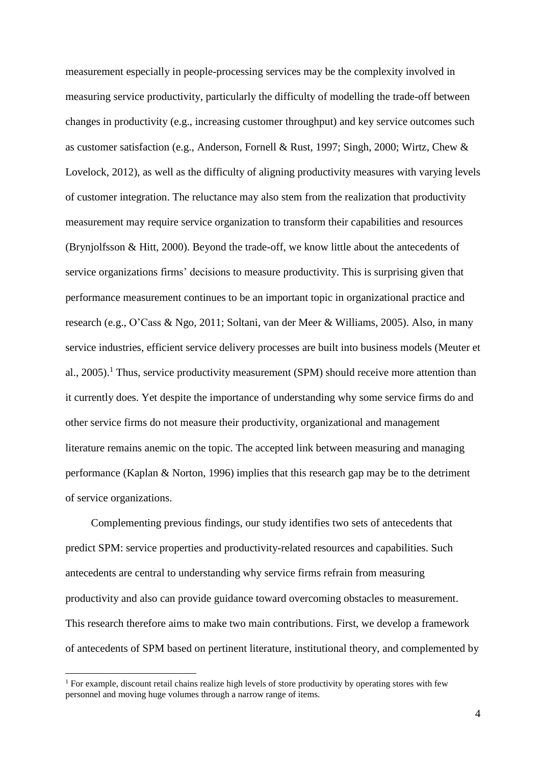measurement especially in people-processing services may be the complexity involved in measuring service productivity, particularly the difficulty of modelling the trade-off between changes in productivity (e.g., increasing customer throughput) and key service outcomes such as customer satisfaction (e.g., Anderson, Fornell & Rust, 1997; Singh, 2000; Wirtz, Chew & Lovelock, 2012), as well as the difficulty of aligning productivity measures with varying levels of customer integration. The reluctance may also stem from the realization that productivity measurement may require service organization to transform their capabilities and resources (Brynjolfsson & Hitt, 2000). Beyond the trade-off, we know little about the antecedents of service organizations firms' decisions to measure productivity. This is surprising given that performance measurement continues to be an important topic in organizational practice and research (e.g., O'Cass & Ngo, 2011; Soltani, van der Meer & Williams, 2005). Also, in many service industries, efficient service delivery processes are built into business models (Meuter et al., 2005).<sup>1</sup> Thus, service productivity measurement (SPM) should receive more attention than it currently does. Yet despite the importance of understanding why some service firms do and other service firms do not measure their productivity, organizational and management literature remains anemic on the topic. The accepted link between measuring and managing performance (Kaplan & Norton, 1996) implies that this research gap may be to the detriment of service organizations.

Complementing previous findings, our study identifies two sets of antecedents that predict SPM: service properties and productivity-related resources and capabilities. Such antecedents are central to understanding why service firms refrain from measuring productivity and also can provide guidance toward overcoming obstacles to measurement. This research therefore aims to make two main contributions. First, we develop a framework of antecedents of SPM based on pertinent literature, institutional theory, and complemented by

<u>.</u>

<sup>&</sup>lt;sup>1</sup> For example, discount retail chains realize high levels of store productivity by operating stores with few personnel and moving huge volumes through a narrow range of items.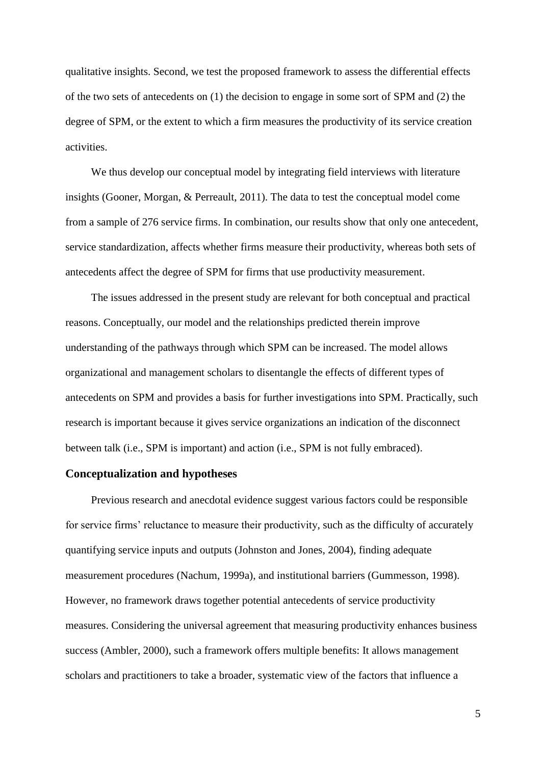qualitative insights. Second, we test the proposed framework to assess the differential effects of the two sets of antecedents on (1) the decision to engage in some sort of SPM and (2) the degree of SPM, or the extent to which a firm measures the productivity of its service creation activities.

We thus develop our conceptual model by integrating field interviews with literature insights (Gooner, Morgan, & Perreault, 2011). The data to test the conceptual model come from a sample of 276 service firms. In combination, our results show that only one antecedent, service standardization, affects whether firms measure their productivity, whereas both sets of antecedents affect the degree of SPM for firms that use productivity measurement.

The issues addressed in the present study are relevant for both conceptual and practical reasons. Conceptually, our model and the relationships predicted therein improve understanding of the pathways through which SPM can be increased. The model allows organizational and management scholars to disentangle the effects of different types of antecedents on SPM and provides a basis for further investigations into SPM. Practically, such research is important because it gives service organizations an indication of the disconnect between talk (i.e., SPM is important) and action (i.e., SPM is not fully embraced).

## **Conceptualization and hypotheses**

Previous research and anecdotal evidence suggest various factors could be responsible for service firms' reluctance to measure their productivity, such as the difficulty of accurately quantifying service inputs and outputs (Johnston and Jones, 2004), finding adequate measurement procedures (Nachum, 1999a), and institutional barriers (Gummesson, 1998). However, no framework draws together potential antecedents of service productivity measures. Considering the universal agreement that measuring productivity enhances business success (Ambler, 2000), such a framework offers multiple benefits: It allows management scholars and practitioners to take a broader, systematic view of the factors that influence a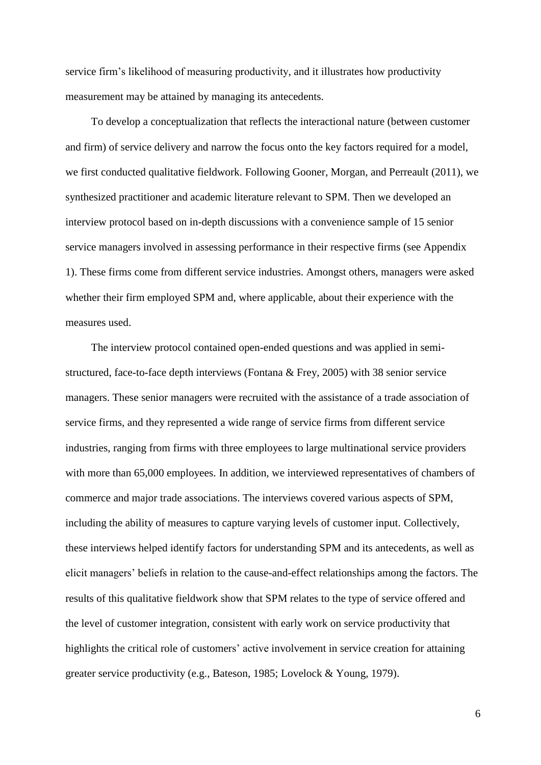service firm's likelihood of measuring productivity, and it illustrates how productivity measurement may be attained by managing its antecedents.

To develop a conceptualization that reflects the interactional nature (between customer and firm) of service delivery and narrow the focus onto the key factors required for a model, we first conducted qualitative fieldwork. Following Gooner, Morgan, and Perreault (2011), we synthesized practitioner and academic literature relevant to SPM. Then we developed an interview protocol based on in-depth discussions with a convenience sample of 15 senior service managers involved in assessing performance in their respective firms (see Appendix 1). These firms come from different service industries. Amongst others, managers were asked whether their firm employed SPM and, where applicable, about their experience with the measures used.

The interview protocol contained open-ended questions and was applied in semistructured, face-to-face depth interviews (Fontana & Frey, 2005) with 38 senior service managers. These senior managers were recruited with the assistance of a trade association of service firms, and they represented a wide range of service firms from different service industries, ranging from firms with three employees to large multinational service providers with more than 65,000 employees. In addition, we interviewed representatives of chambers of commerce and major trade associations. The interviews covered various aspects of SPM, including the ability of measures to capture varying levels of customer input. Collectively, these interviews helped identify factors for understanding SPM and its antecedents, as well as elicit managers' beliefs in relation to the cause-and-effect relationships among the factors. The results of this qualitative fieldwork show that SPM relates to the type of service offered and the level of customer integration, consistent with early work on service productivity that highlights the critical role of customers' active involvement in service creation for attaining greater service productivity (e.g., Bateson, 1985; Lovelock & Young, 1979).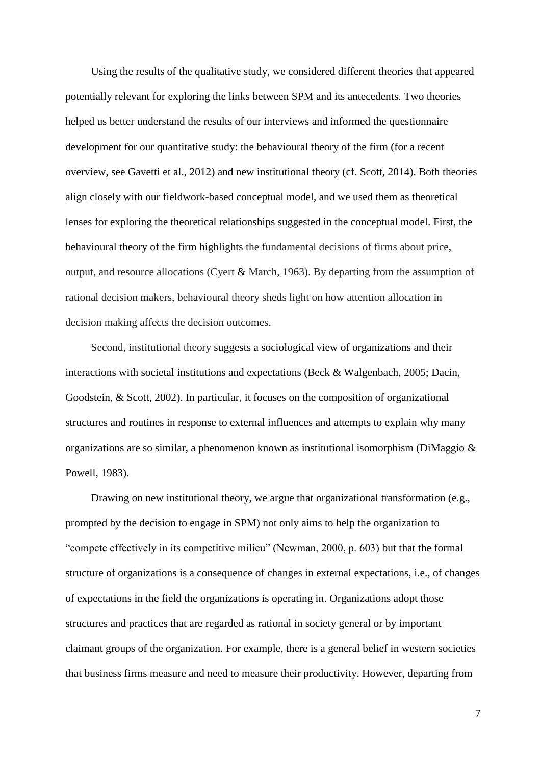Using the results of the qualitative study, we considered different theories that appeared potentially relevant for exploring the links between SPM and its antecedents. Two theories helped us better understand the results of our interviews and informed the questionnaire development for our quantitative study: the behavioural theory of the firm (for a recent overview, see Gavetti et al., 2012) and new institutional theory (cf. Scott, 2014). Both theories align closely with our fieldwork-based conceptual model, and we used them as theoretical lenses for exploring the theoretical relationships suggested in the conceptual model. First, the behavioural theory of the firm highlights the fundamental decisions of firms about price, output, and resource allocations (Cyert & March, 1963). By departing from the assumption of rational decision makers, behavioural theory sheds light on how attention allocation in decision making affects the decision outcomes.

Second, institutional theory suggests a sociological view of organizations and their interactions with societal institutions and expectations (Beck & Walgenbach, 2005; Dacin, Goodstein, & Scott, 2002). In particular, it focuses on the composition of organizational structures and routines in response to external influences and attempts to explain why many organizations are so similar, a phenomenon known as institutional isomorphism (DiMaggio & Powell, 1983).

Drawing on new institutional theory, we argue that organizational transformation (e.g., prompted by the decision to engage in SPM) not only aims to help the organization to "compete effectively in its competitive milieu" (Newman, 2000, p. 603) but that the formal structure of organizations is a consequence of changes in external expectations, i.e., of changes of expectations in the field the organizations is operating in. Organizations adopt those structures and practices that are regarded as rational in society general or by important claimant groups of the organization. For example, there is a general belief in western societies that business firms measure and need to measure their productivity. However, departing from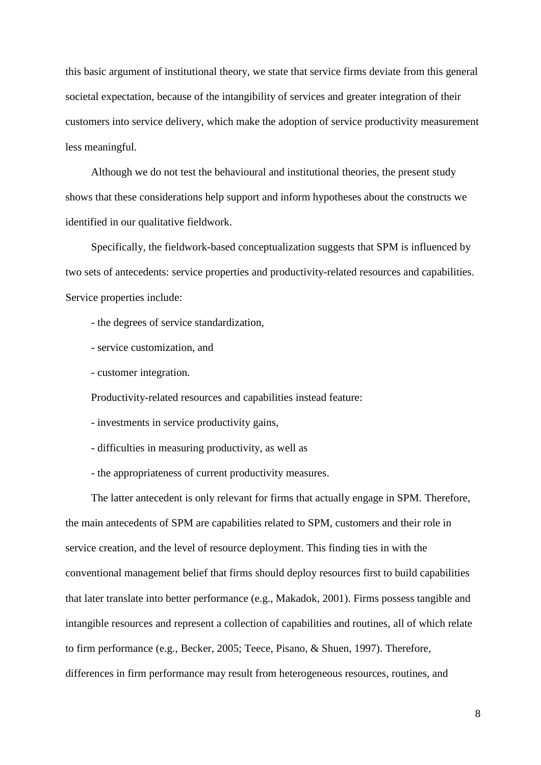this basic argument of institutional theory, we state that service firms deviate from this general societal expectation, because of the intangibility of services and greater integration of their customers into service delivery, which make the adoption of service productivity measurement less meaningful.

Although we do not test the behavioural and institutional theories, the present study shows that these considerations help support and inform hypotheses about the constructs we identified in our qualitative fieldwork.

Specifically, the fieldwork-based conceptualization suggests that SPM is influenced by two sets of antecedents: service properties and productivity-related resources and capabilities. Service properties include:

- the degrees of service standardization,
- service customization, and
- customer integration.

Productivity-related resources and capabilities instead feature:

- investments in service productivity gains,
- difficulties in measuring productivity, as well as
- the appropriateness of current productivity measures.

The latter antecedent is only relevant for firms that actually engage in SPM. Therefore, the main antecedents of SPM are capabilities related to SPM, customers and their role in service creation, and the level of resource deployment. This finding ties in with the conventional management belief that firms should deploy resources first to build capabilities that later translate into better performance (e.g., Makadok, 2001). Firms possess tangible and intangible resources and represent a collection of capabilities and routines, all of which relate to firm performance (e.g., Becker, 2005; Teece, Pisano, & Shuen, 1997). Therefore, differences in firm performance may result from heterogeneous resources, routines, and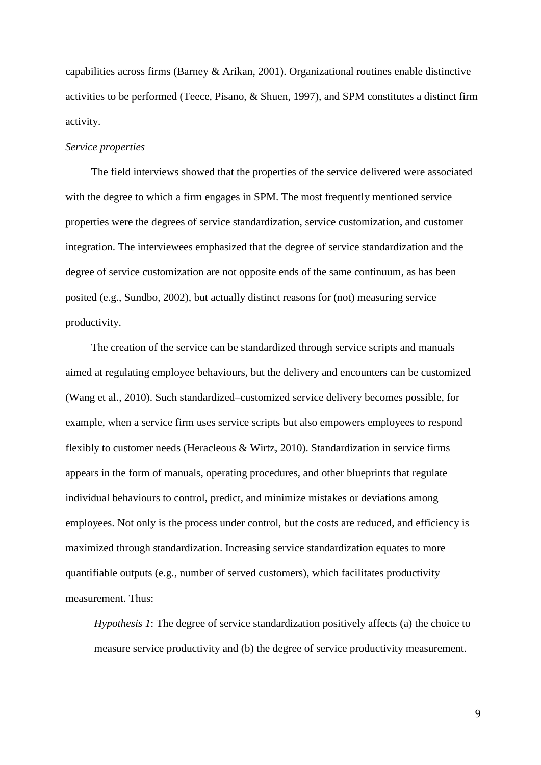capabilities across firms (Barney & Arikan, 2001). Organizational routines enable distinctive activities to be performed (Teece, Pisano, & Shuen, 1997), and SPM constitutes a distinct firm activity.

#### *Service properties*

The field interviews showed that the properties of the service delivered were associated with the degree to which a firm engages in SPM. The most frequently mentioned service properties were the degrees of service standardization, service customization, and customer integration. The interviewees emphasized that the degree of service standardization and the degree of service customization are not opposite ends of the same continuum, as has been posited (e.g., Sundbo, 2002), but actually distinct reasons for (not) measuring service productivity.

The creation of the service can be standardized through service scripts and manuals aimed at regulating employee behaviours, but the delivery and encounters can be customized (Wang et al., 2010). Such standardized–customized service delivery becomes possible, for example, when a service firm uses service scripts but also empowers employees to respond flexibly to customer needs (Heracleous & Wirtz, 2010). Standardization in service firms appears in the form of manuals, operating procedures, and other blueprints that regulate individual behaviours to control, predict, and minimize mistakes or deviations among employees. Not only is the process under control, but the costs are reduced, and efficiency is maximized through standardization. Increasing service standardization equates to more quantifiable outputs (e.g., number of served customers), which facilitates productivity measurement. Thus:

*Hypothesis 1*: The degree of service standardization positively affects (a) the choice to measure service productivity and (b) the degree of service productivity measurement.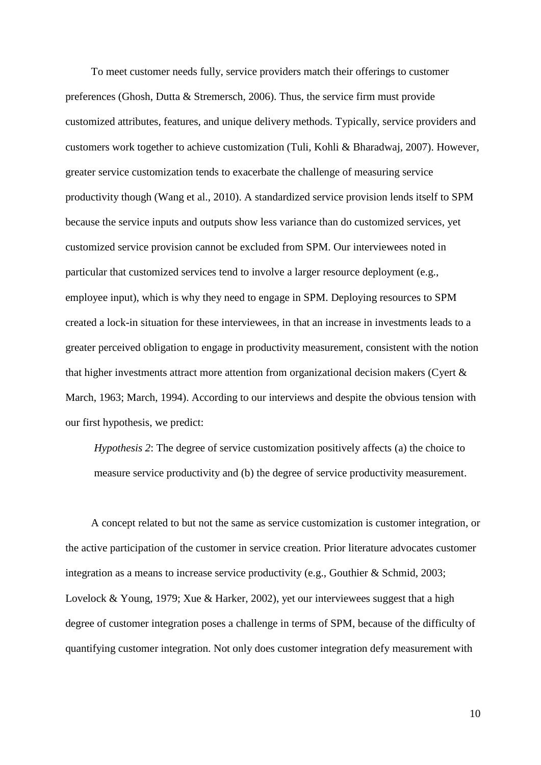To meet customer needs fully, service providers match their offerings to customer preferences (Ghosh, Dutta & Stremersch, 2006). Thus, the service firm must provide customized attributes, features, and unique delivery methods. Typically, service providers and customers work together to achieve customization (Tuli, Kohli & Bharadwaj, 2007). However, greater service customization tends to exacerbate the challenge of measuring service productivity though (Wang et al., 2010). A standardized service provision lends itself to SPM because the service inputs and outputs show less variance than do customized services, yet customized service provision cannot be excluded from SPM. Our interviewees noted in particular that customized services tend to involve a larger resource deployment (e.g., employee input), which is why they need to engage in SPM. Deploying resources to SPM created a lock-in situation for these interviewees, in that an increase in investments leads to a greater perceived obligation to engage in productivity measurement, consistent with the notion that higher investments attract more attention from organizational decision makers (Cyert & March, 1963; March, 1994). According to our interviews and despite the obvious tension with our first hypothesis, we predict:

*Hypothesis 2*: The degree of service customization positively affects (a) the choice to measure service productivity and (b) the degree of service productivity measurement.

A concept related to but not the same as service customization is customer integration, or the active participation of the customer in service creation. Prior literature advocates customer integration as a means to increase service productivity (e.g., Gouthier & Schmid, 2003; Lovelock & Young, 1979; Xue & Harker, 2002), yet our interviewees suggest that a high degree of customer integration poses a challenge in terms of SPM, because of the difficulty of quantifying customer integration. Not only does customer integration defy measurement with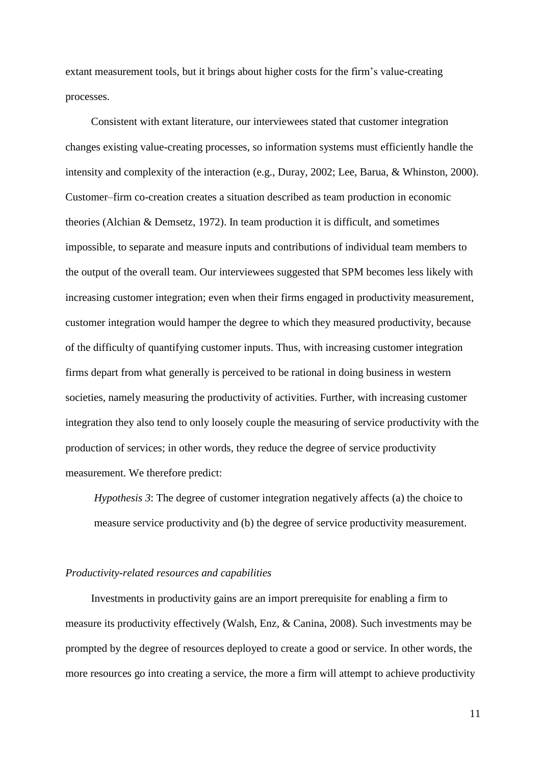extant measurement tools, but it brings about higher costs for the firm's value-creating processes.

Consistent with extant literature, our interviewees stated that customer integration changes existing value-creating processes, so information systems must efficiently handle the intensity and complexity of the interaction (e.g., Duray, 2002; Lee, Barua, & Whinston, 2000). Customer–firm co-creation creates a situation described as team production in economic theories (Alchian & Demsetz, 1972). In team production it is difficult, and sometimes impossible, to separate and measure inputs and contributions of individual team members to the output of the overall team. Our interviewees suggested that SPM becomes less likely with increasing customer integration; even when their firms engaged in productivity measurement, customer integration would hamper the degree to which they measured productivity, because of the difficulty of quantifying customer inputs. Thus, with increasing customer integration firms depart from what generally is perceived to be rational in doing business in western societies, namely measuring the productivity of activities. Further, with increasing customer integration they also tend to only loosely couple the measuring of service productivity with the production of services; in other words, they reduce the degree of service productivity measurement. We therefore predict:

*Hypothesis 3*: The degree of customer integration negatively affects (a) the choice to measure service productivity and (b) the degree of service productivity measurement.

#### *Productivity-related resources and capabilities*

Investments in productivity gains are an import prerequisite for enabling a firm to measure its productivity effectively (Walsh, Enz, & Canina, 2008). Such investments may be prompted by the degree of resources deployed to create a good or service. In other words, the more resources go into creating a service, the more a firm will attempt to achieve productivity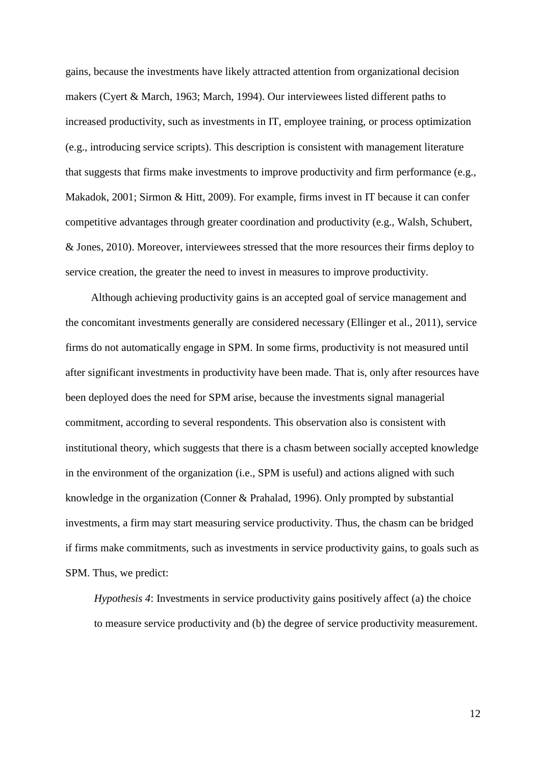gains, because the investments have likely attracted attention from organizational decision makers (Cyert & March, 1963; March, 1994). Our interviewees listed different paths to increased productivity, such as investments in IT, employee training, or process optimization (e.g., introducing service scripts). This description is consistent with management literature that suggests that firms make investments to improve productivity and firm performance (e.g., Makadok, 2001; Sirmon & Hitt, 2009). For example, firms invest in IT because it can confer competitive advantages through greater coordination and productivity (e.g., Walsh, Schubert, & Jones, 2010). Moreover, interviewees stressed that the more resources their firms deploy to service creation, the greater the need to invest in measures to improve productivity.

Although achieving productivity gains is an accepted goal of service management and the concomitant investments generally are considered necessary (Ellinger et al., 2011), service firms do not automatically engage in SPM. In some firms, productivity is not measured until after significant investments in productivity have been made. That is, only after resources have been deployed does the need for SPM arise, because the investments signal managerial commitment, according to several respondents. This observation also is consistent with institutional theory, which suggests that there is a chasm between socially accepted knowledge in the environment of the organization (i.e., SPM is useful) and actions aligned with such knowledge in the organization (Conner & Prahalad, 1996). Only prompted by substantial investments, a firm may start measuring service productivity. Thus, the chasm can be bridged if firms make commitments, such as investments in service productivity gains, to goals such as SPM. Thus, we predict:

*Hypothesis 4*: Investments in service productivity gains positively affect (a) the choice to measure service productivity and (b) the degree of service productivity measurement.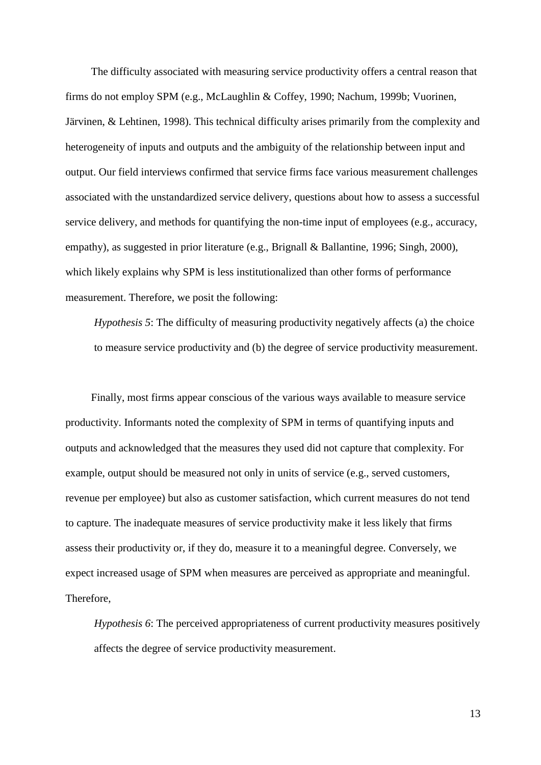The difficulty associated with measuring service productivity offers a central reason that firms do not employ SPM (e.g., McLaughlin & Coffey, 1990; Nachum, 1999b; Vuorinen, Järvinen, & Lehtinen, 1998). This technical difficulty arises primarily from the complexity and heterogeneity of inputs and outputs and the ambiguity of the relationship between input and output. Our field interviews confirmed that service firms face various measurement challenges associated with the unstandardized service delivery, questions about how to assess a successful service delivery, and methods for quantifying the non-time input of employees (e.g., accuracy, empathy), as suggested in prior literature (e.g., Brignall & Ballantine, 1996; Singh, 2000), which likely explains why SPM is less institutionalized than other forms of performance measurement. Therefore, we posit the following:

*Hypothesis 5*: The difficulty of measuring productivity negatively affects (a) the choice to measure service productivity and (b) the degree of service productivity measurement.

Finally, most firms appear conscious of the various ways available to measure service productivity. Informants noted the complexity of SPM in terms of quantifying inputs and outputs and acknowledged that the measures they used did not capture that complexity. For example, output should be measured not only in units of service (e.g., served customers, revenue per employee) but also as customer satisfaction, which current measures do not tend to capture. The inadequate measures of service productivity make it less likely that firms assess their productivity or, if they do, measure it to a meaningful degree. Conversely, we expect increased usage of SPM when measures are perceived as appropriate and meaningful. Therefore,

*Hypothesis 6*: The perceived appropriateness of current productivity measures positively affects the degree of service productivity measurement.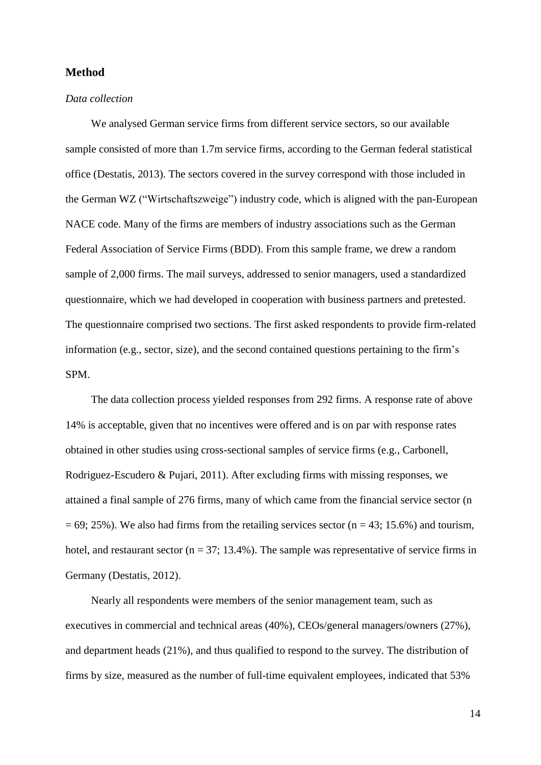# **Method**

#### *Data collection*

We analysed German service firms from different service sectors, so our available sample consisted of more than 1.7m service firms, according to the German federal statistical office (Destatis, 2013). The sectors covered in the survey correspond with those included in the German WZ ("Wirtschaftszweige") industry code, which is aligned with the pan-European NACE code. Many of the firms are members of industry associations such as the German Federal Association of Service Firms (BDD). From this sample frame, we drew a random sample of 2,000 firms. The mail surveys, addressed to senior managers, used a standardized questionnaire, which we had developed in cooperation with business partners and pretested. The questionnaire comprised two sections. The first asked respondents to provide firm-related information (e.g., sector, size), and the second contained questions pertaining to the firm's SPM.

The data collection process yielded responses from 292 firms. A response rate of above 14% is acceptable, given that no incentives were offered and is on par with response rates obtained in other studies using cross-sectional samples of service firms (e.g., Carbonell, Rodriguez-Escudero & Pujari, 2011). After excluding firms with missing responses, we attained a final sample of 276 firms, many of which came from the financial service sector (n  $= 69$ ; 25%). We also had firms from the retailing services sector (n = 43; 15.6%) and tourism, hotel, and restaurant sector ( $n = 37$ ; 13.4%). The sample was representative of service firms in Germany (Destatis, 2012).

Nearly all respondents were members of the senior management team, such as executives in commercial and technical areas (40%), CEOs/general managers/owners (27%), and department heads (21%), and thus qualified to respond to the survey. The distribution of firms by size, measured as the number of full-time equivalent employees, indicated that 53%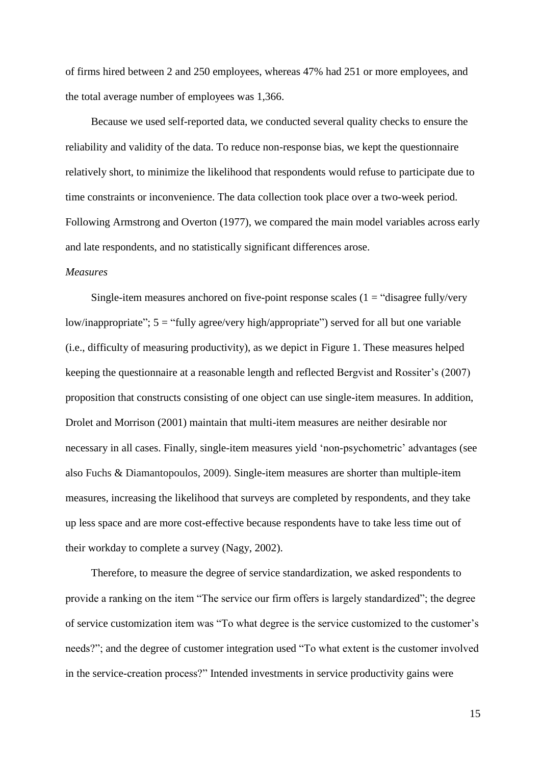of firms hired between 2 and 250 employees, whereas 47% had 251 or more employees, and the total average number of employees was 1,366.

Because we used self-reported data, we conducted several quality checks to ensure the reliability and validity of the data. To reduce non-response bias, we kept the questionnaire relatively short, to minimize the likelihood that respondents would refuse to participate due to time constraints or inconvenience. The data collection took place over a two-week period. Following Armstrong and Overton (1977), we compared the main model variables across early and late respondents, and no statistically significant differences arose.

### *Measures*

Single-item measures anchored on five-point response scales  $(1 = "disagree fully/very$ low/inappropriate";  $5 =$  "fully agree/very high/appropriate") served for all but one variable (i.e., difficulty of measuring productivity), as we depict in Figure 1. These measures helped keeping the questionnaire at a reasonable length and reflected Bergvist and Rossiter's (2007) proposition that constructs consisting of one object can use single-item measures. In addition, Drolet and Morrison (2001) maintain that multi-item measures are neither desirable nor necessary in all cases. Finally, single-item measures yield 'non-psychometric' advantages (see also Fuchs & Diamantopoulos, 2009). Single-item measures are shorter than multiple-item measures, increasing the likelihood that surveys are completed by respondents, and they take up less space and are more cost-effective because respondents have to take less time out of their workday to complete a survey (Nagy, 2002).

Therefore, to measure the degree of service standardization, we asked respondents to provide a ranking on the item "The service our firm offers is largely standardized"; the degree of service customization item was "To what degree is the service customized to the customer's needs?"; and the degree of customer integration used "To what extent is the customer involved in the service-creation process?" Intended investments in service productivity gains were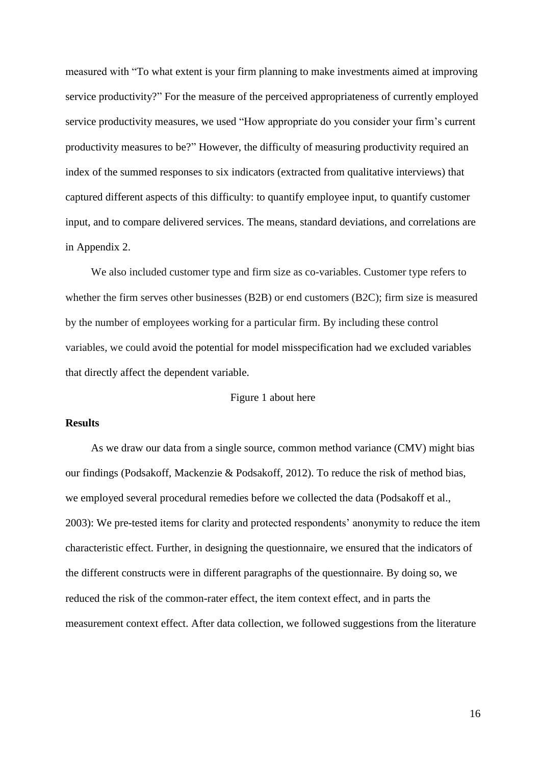measured with "To what extent is your firm planning to make investments aimed at improving service productivity?" For the measure of the perceived appropriateness of currently employed service productivity measures, we used "How appropriate do you consider your firm's current productivity measures to be?" However, the difficulty of measuring productivity required an index of the summed responses to six indicators (extracted from qualitative interviews) that captured different aspects of this difficulty: to quantify employee input, to quantify customer input, and to compare delivered services. The means, standard deviations, and correlations are in Appendix 2.

We also included customer type and firm size as co-variables. Customer type refers to whether the firm serves other businesses (B2B) or end customers (B2C); firm size is measured by the number of employees working for a particular firm. By including these control variables, we could avoid the potential for model misspecification had we excluded variables that directly affect the dependent variable.

### Figure 1 about here

#### **Results**

As we draw our data from a single source, common method variance (CMV) might bias our findings (Podsakoff, Mackenzie & Podsakoff, 2012). To reduce the risk of method bias, we employed several procedural remedies before we collected the data (Podsakoff et al., 2003): We pre-tested items for clarity and protected respondents' anonymity to reduce the item characteristic effect. Further, in designing the questionnaire, we ensured that the indicators of the different constructs were in different paragraphs of the questionnaire. By doing so, we reduced the risk of the common-rater effect, the item context effect, and in parts the measurement context effect. After data collection, we followed suggestions from the literature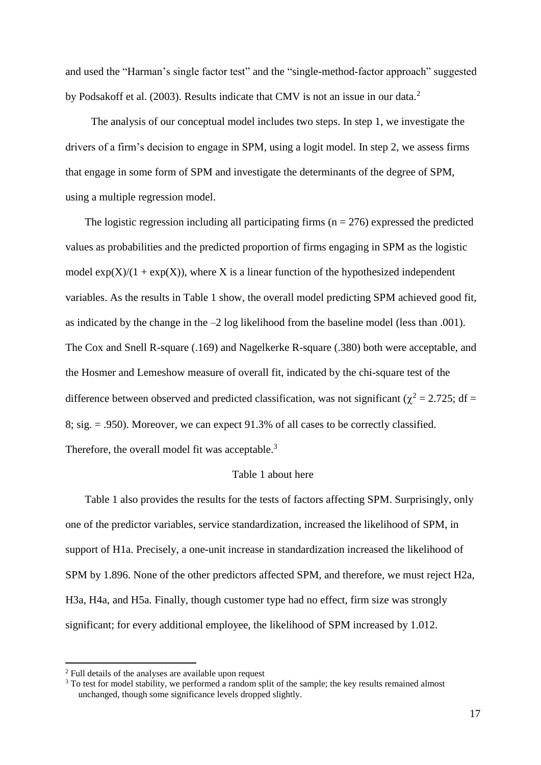and used the "Harman's single factor test" and the "single-method-factor approach" suggested by Podsakoff et al. (2003). Results indicate that CMV is not an issue in our data.<sup>2</sup>

The analysis of our conceptual model includes two steps. In step 1, we investigate the drivers of a firm's decision to engage in SPM, using a logit model. In step 2, we assess firms that engage in some form of SPM and investigate the determinants of the degree of SPM, using a multiple regression model.

The logistic regression including all participating firms ( $n = 276$ ) expressed the predicted values as probabilities and the predicted proportion of firms engaging in SPM as the logistic model  $exp(X)/(1 + exp(X))$ , where X is a linear function of the hypothesized independent variables. As the results in Table 1 show, the overall model predicting SPM achieved good fit, as indicated by the change in the –2 log likelihood from the baseline model (less than .001). The Cox and Snell R-square (.169) and Nagelkerke R-square (.380) both were acceptable, and the Hosmer and Lemeshow measure of overall fit, indicated by the chi-square test of the difference between observed and predicted classification, was not significant ( $\chi^2$  = 2.725; df = 8; sig. = .950). Moreover, we can expect 91.3% of all cases to be correctly classified. Therefore, the overall model fit was acceptable.<sup>3</sup>

### Table 1 about here

Table 1 also provides the results for the tests of factors affecting SPM. Surprisingly, only one of the predictor variables, service standardization, increased the likelihood of SPM, in support of H1a. Precisely, a one-unit increase in standardization increased the likelihood of SPM by 1.896. None of the other predictors affected SPM, and therefore, we must reject H2a, H3a, H4a, and H5a. Finally, though customer type had no effect, firm size was strongly significant; for every additional employee, the likelihood of SPM increased by 1.012.

<sup>2</sup> Full details of the analyses are available upon request

 $3$  To test for model stability, we performed a random split of the sample; the key results remained almost unchanged, though some significance levels dropped slightly.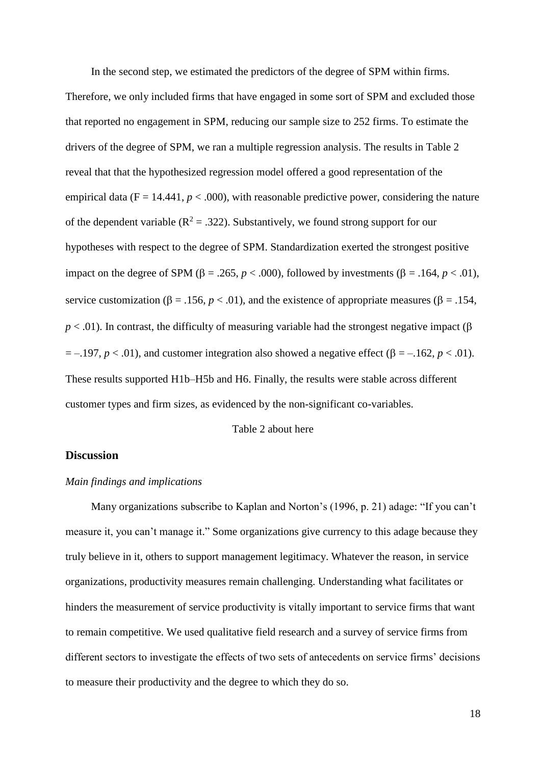In the second step, we estimated the predictors of the degree of SPM within firms. Therefore, we only included firms that have engaged in some sort of SPM and excluded those that reported no engagement in SPM, reducing our sample size to 252 firms. To estimate the drivers of the degree of SPM, we ran a multiple regression analysis. The results in Table 2 reveal that that the hypothesized regression model offered a good representation of the empirical data  $(F = 14.441, p < .000)$ , with reasonable predictive power, considering the nature of the dependent variable ( $R^2 = .322$ ). Substantively, we found strong support for our hypotheses with respect to the degree of SPM. Standardization exerted the strongest positive impact on the degree of SPM ( $\beta$  = .265, *p* < .000), followed by investments ( $\beta$  = .164, *p* < .01), service customization ( $\beta = .156$ ,  $p < .01$ ), and the existence of appropriate measures ( $\beta = .154$ ,  $p < .01$ ). In contrast, the difficulty of measuring variable had the strongest negative impact ( $\beta$ )  $= -.197, p < .01$ ), and customer integration also showed a negative effect ( $\beta = -.162, p < .01$ ). These results supported H1b–H5b and H6. Finally, the results were stable across different customer types and firm sizes, as evidenced by the non-significant co-variables.

Table 2 about here

### **Discussion**

#### *Main findings and implications*

Many organizations subscribe to Kaplan and Norton's (1996, p. 21) adage: "If you can't measure it, you can't manage it." Some organizations give currency to this adage because they truly believe in it, others to support management legitimacy. Whatever the reason, in service organizations, productivity measures remain challenging. Understanding what facilitates or hinders the measurement of service productivity is vitally important to service firms that want to remain competitive. We used qualitative field research and a survey of service firms from different sectors to investigate the effects of two sets of antecedents on service firms' decisions to measure their productivity and the degree to which they do so.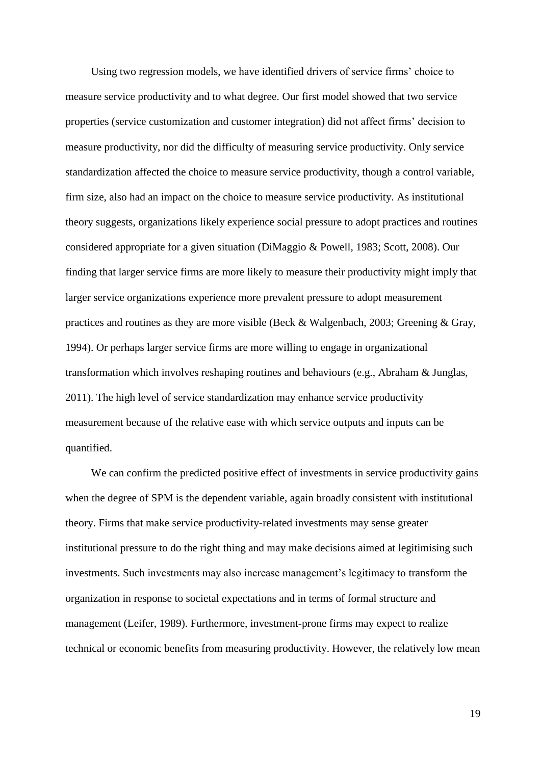Using two regression models, we have identified drivers of service firms' choice to measure service productivity and to what degree. Our first model showed that two service properties (service customization and customer integration) did not affect firms' decision to measure productivity, nor did the difficulty of measuring service productivity. Only service standardization affected the choice to measure service productivity, though a control variable, firm size, also had an impact on the choice to measure service productivity. As institutional theory suggests, organizations likely experience social pressure to adopt practices and routines considered appropriate for a given situation (DiMaggio & Powell, 1983; Scott, 2008). Our finding that larger service firms are more likely to measure their productivity might imply that larger service organizations experience more prevalent pressure to adopt measurement practices and routines as they are more visible (Beck & Walgenbach, 2003; Greening & Gray, 1994). Or perhaps larger service firms are more willing to engage in organizational transformation which involves reshaping routines and behaviours (e.g., Abraham & Junglas, 2011). The high level of service standardization may enhance service productivity measurement because of the relative ease with which service outputs and inputs can be quantified.

We can confirm the predicted positive effect of investments in service productivity gains when the degree of SPM is the dependent variable, again broadly consistent with institutional theory. Firms that make service productivity-related investments may sense greater institutional pressure to do the right thing and may make decisions aimed at legitimising such investments. Such investments may also increase management's legitimacy to transform the organization in response to societal expectations and in terms of formal structure and management (Leifer, 1989). Furthermore, investment-prone firms may expect to realize technical or economic benefits from measuring productivity. However, the relatively low mean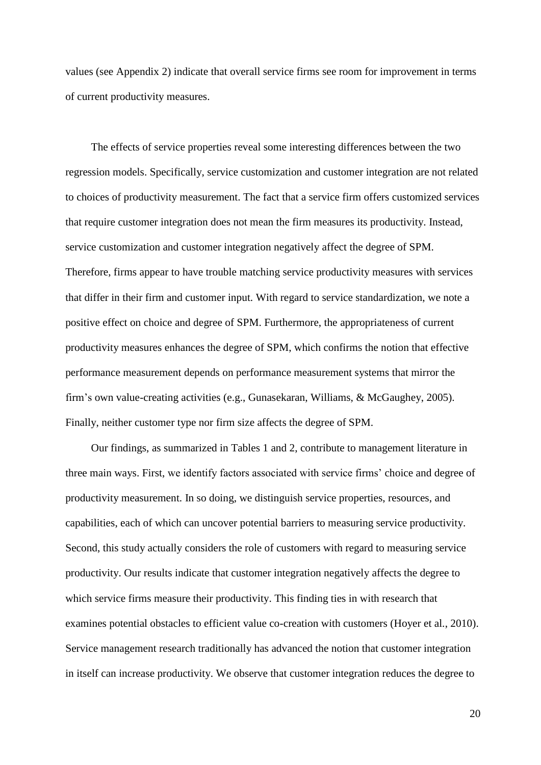values (see Appendix 2) indicate that overall service firms see room for improvement in terms of current productivity measures.

The effects of service properties reveal some interesting differences between the two regression models. Specifically, service customization and customer integration are not related to choices of productivity measurement. The fact that a service firm offers customized services that require customer integration does not mean the firm measures its productivity. Instead, service customization and customer integration negatively affect the degree of SPM. Therefore, firms appear to have trouble matching service productivity measures with services that differ in their firm and customer input. With regard to service standardization, we note a positive effect on choice and degree of SPM. Furthermore, the appropriateness of current productivity measures enhances the degree of SPM, which confirms the notion that effective performance measurement depends on performance measurement systems that mirror the firm's own value-creating activities (e.g., Gunasekaran, Williams, & McGaughey, 2005). Finally, neither customer type nor firm size affects the degree of SPM.

Our findings, as summarized in Tables 1 and 2, contribute to management literature in three main ways. First, we identify factors associated with service firms' choice and degree of productivity measurement. In so doing, we distinguish service properties, resources, and capabilities, each of which can uncover potential barriers to measuring service productivity. Second, this study actually considers the role of customers with regard to measuring service productivity. Our results indicate that customer integration negatively affects the degree to which service firms measure their productivity. This finding ties in with research that examines potential obstacles to efficient value co-creation with customers (Hoyer et al., 2010). Service management research traditionally has advanced the notion that customer integration in itself can increase productivity. We observe that customer integration reduces the degree to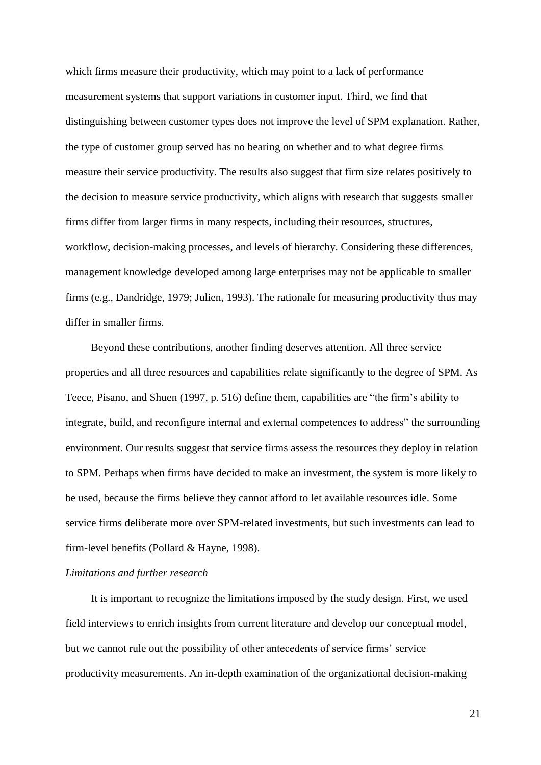which firms measure their productivity, which may point to a lack of performance measurement systems that support variations in customer input. Third, we find that distinguishing between customer types does not improve the level of SPM explanation. Rather, the type of customer group served has no bearing on whether and to what degree firms measure their service productivity. The results also suggest that firm size relates positively to the decision to measure service productivity, which aligns with research that suggests smaller firms differ from larger firms in many respects, including their resources, structures, workflow, decision-making processes, and levels of hierarchy. Considering these differences, management knowledge developed among large enterprises may not be applicable to smaller firms (e.g., Dandridge, 1979; Julien, 1993). The rationale for measuring productivity thus may differ in smaller firms.

Beyond these contributions, another finding deserves attention. All three service properties and all three resources and capabilities relate significantly to the degree of SPM. As Teece, Pisano, and Shuen (1997, p. 516) define them, capabilities are "the firm's ability to integrate, build, and reconfigure internal and external competences to address" the surrounding environment. Our results suggest that service firms assess the resources they deploy in relation to SPM. Perhaps when firms have decided to make an investment, the system is more likely to be used, because the firms believe they cannot afford to let available resources idle. Some service firms deliberate more over SPM-related investments, but such investments can lead to firm-level benefits (Pollard & Hayne, 1998).

#### *Limitations and further research*

It is important to recognize the limitations imposed by the study design. First, we used field interviews to enrich insights from current literature and develop our conceptual model, but we cannot rule out the possibility of other antecedents of service firms' service productivity measurements. An in-depth examination of the organizational decision-making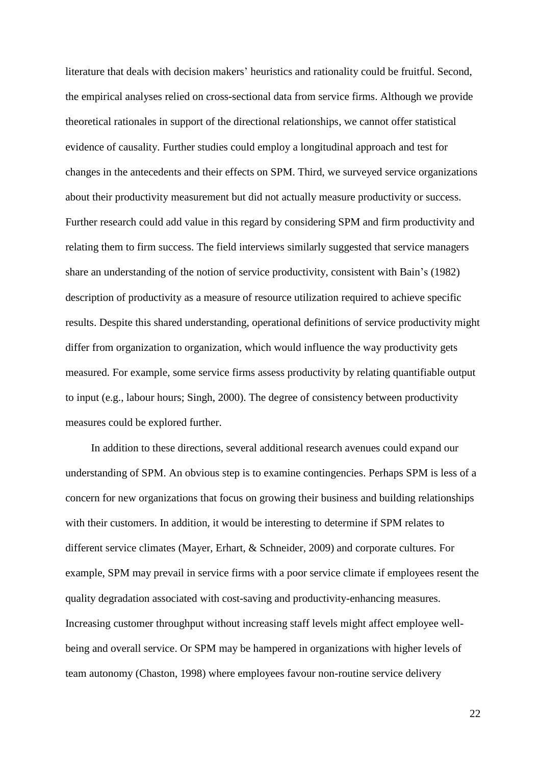literature that deals with decision makers' heuristics and rationality could be fruitful. Second, the empirical analyses relied on cross-sectional data from service firms. Although we provide theoretical rationales in support of the directional relationships, we cannot offer statistical evidence of causality. Further studies could employ a longitudinal approach and test for changes in the antecedents and their effects on SPM. Third, we surveyed service organizations about their productivity measurement but did not actually measure productivity or success. Further research could add value in this regard by considering SPM and firm productivity and relating them to firm success. The field interviews similarly suggested that service managers share an understanding of the notion of service productivity, consistent with Bain's (1982) description of productivity as a measure of resource utilization required to achieve specific results. Despite this shared understanding, operational definitions of service productivity might differ from organization to organization, which would influence the way productivity gets measured. For example, some service firms assess productivity by relating quantifiable output to input (e.g., labour hours; Singh, 2000). The degree of consistency between productivity measures could be explored further.

In addition to these directions, several additional research avenues could expand our understanding of SPM. An obvious step is to examine contingencies. Perhaps SPM is less of a concern for new organizations that focus on growing their business and building relationships with their customers. In addition, it would be interesting to determine if SPM relates to different service climates (Mayer, Erhart, & Schneider, 2009) and corporate cultures. For example, SPM may prevail in service firms with a poor service climate if employees resent the quality degradation associated with cost-saving and productivity-enhancing measures. Increasing customer throughput without increasing staff levels might affect employee wellbeing and overall service. Or SPM may be hampered in organizations with higher levels of team autonomy (Chaston, 1998) where employees favour non-routine service delivery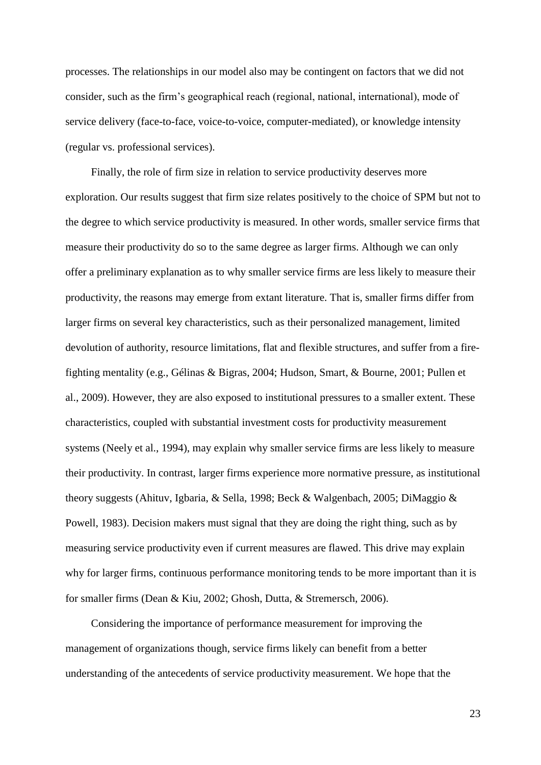processes. The relationships in our model also may be contingent on factors that we did not consider, such as the firm's geographical reach (regional, national, international), mode of service delivery (face-to-face, voice-to-voice, computer-mediated), or knowledge intensity (regular vs. professional services).

Finally, the role of firm size in relation to service productivity deserves more exploration. Our results suggest that firm size relates positively to the choice of SPM but not to the degree to which service productivity is measured. In other words, smaller service firms that measure their productivity do so to the same degree as larger firms. Although we can only offer a preliminary explanation as to why smaller service firms are less likely to measure their productivity, the reasons may emerge from extant literature. That is, smaller firms differ from larger firms on several key characteristics, such as their personalized management, limited devolution of authority, resource limitations, flat and flexible structures, and suffer from a firefighting mentality (e.g., Gélinas & Bigras, 2004; Hudson, Smart, & Bourne, 2001; Pullen et al., 2009). However, they are also exposed to institutional pressures to a smaller extent. These characteristics, coupled with substantial investment costs for productivity measurement systems (Neely et al., 1994), may explain why smaller service firms are less likely to measure their productivity. In contrast, larger firms experience more normative pressure, as institutional theory suggests (Ahituv, Igbaria, & Sella, 1998; Beck & Walgenbach, 2005; DiMaggio & Powell, 1983). Decision makers must signal that they are doing the right thing, such as by measuring service productivity even if current measures are flawed. This drive may explain why for larger firms, continuous performance monitoring tends to be more important than it is for smaller firms (Dean & Kiu, 2002; Ghosh, Dutta, & Stremersch, 2006).

Considering the importance of performance measurement for improving the management of organizations though, service firms likely can benefit from a better understanding of the antecedents of service productivity measurement. We hope that the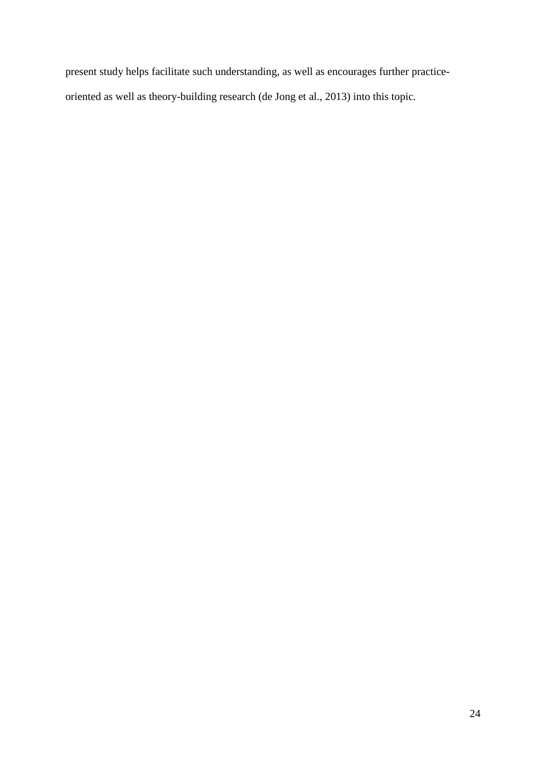present study helps facilitate such understanding, as well as encourages further practiceoriented as well as theory-building research (de Jong et al., 2013) into this topic.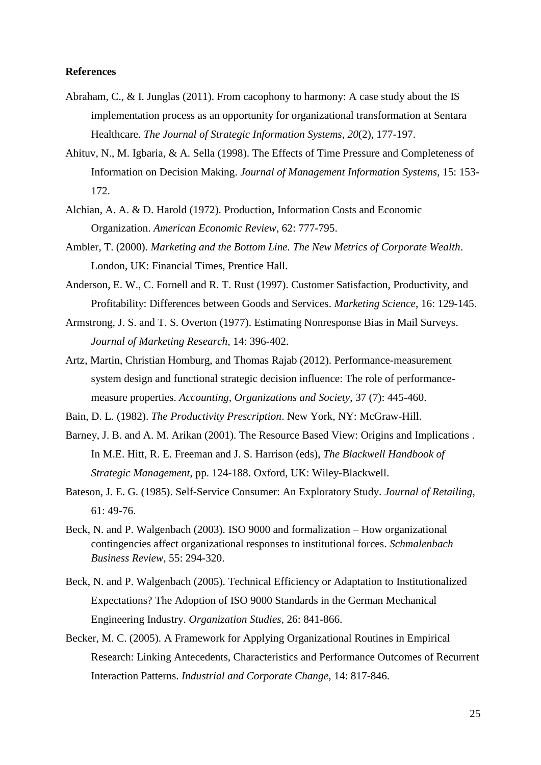#### **References**

- Abraham, C., & I. Junglas (2011). From cacophony to harmony: A case study about the IS implementation process as an opportunity for organizational transformation at Sentara Healthcare. *The Journal of Strategic Information Systems*, *20*(2), 177-197.
- Ahituv, N., M. Igbaria, & A. Sella (1998). The Effects of Time Pressure and Completeness of Information on Decision Making. *Journal of Management Information Systems*, 15: 153- 172.
- Alchian, A. A. & D. Harold (1972). Production, Information Costs and Economic Organization. *American Economic Review*, 62: 777-795.
- Ambler, T. (2000). *Marketing and the Bottom Line. The New Metrics of Corporate Wealth*. London, UK: Financial Times, Prentice Hall.
- Anderson, E. W., C. Fornell and R. T. Rust (1997). Customer Satisfaction, Productivity, and Profitability: Differences between Goods and Services. *Marketing Science*, 16: 129-145.
- Armstrong, J. S. and T. S. Overton (1977). Estimating Nonresponse Bias in Mail Surveys. *Journal of Marketing Research*, 14: 396-402.
- Artz, Martin, Christian Homburg, and Thomas Rajab (2012). Performance-measurement system design and functional strategic decision influence: The role of performancemeasure properties. *Accounting, Organizations and Society*, 37 (7): 445-460.
- Bain, D. L. (1982). *The Productivity Prescription*. New York, NY: McGraw-Hill.
- Barney, J. B. and A. M. Arikan (2001). The Resource Based View: Origins and Implications . In M.E. Hitt, R. E. Freeman and J. S. Harrison (eds), *The Blackwell Handbook of Strategic Management*, pp. 124-188. Oxford, UK: Wiley-Blackwell.
- Bateson, J. E. G. (1985). Self-Service Consumer: An Exploratory Study. *Journal of Retailing*, 61: 49-76.
- Beck, N. and P. Walgenbach (2003). ISO 9000 and formalization How organizational contingencies affect organizational responses to institutional forces. *Schmalenbach Business Review,* 55: 294-320.
- Beck, N. and P. Walgenbach (2005). Technical Efficiency or Adaptation to Institutionalized Expectations? The Adoption of ISO 9000 Standards in the German Mechanical Engineering Industry. *Organization Studies*, 26: 841-866.
- Becker, M. C. (2005). A Framework for Applying Organizational Routines in Empirical Research: Linking Antecedents, Characteristics and Performance Outcomes of Recurrent Interaction Patterns. *Industrial and Corporate Change*, 14: 817-846.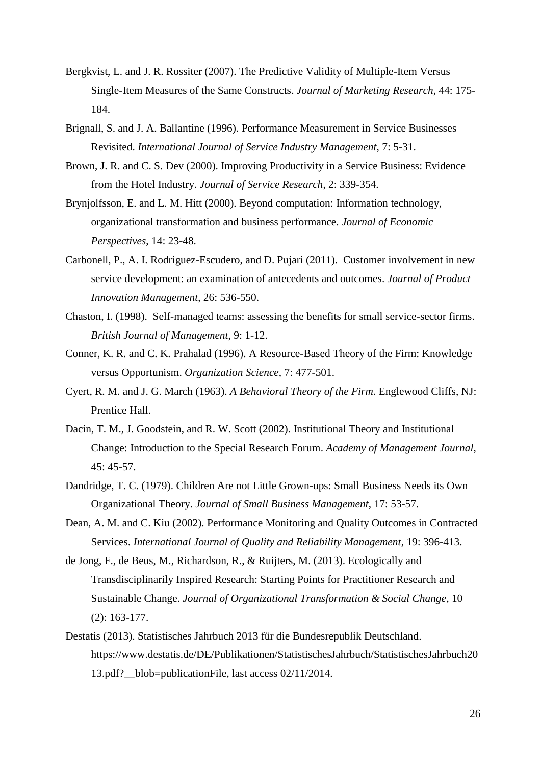- Bergkvist, L. and J. R. Rossiter (2007). The Predictive Validity of Multiple-Item Versus Single-Item Measures of the Same Constructs. *Journal of Marketing Research*, 44: 175- 184.
- Brignall, S. and J. A. Ballantine (1996). Performance Measurement in Service Businesses Revisited. *International Journal of Service Industry Management*, 7: 5-31.
- Brown, J. R. and C. S. Dev (2000). Improving Productivity in a Service Business: Evidence from the Hotel Industry. *Journal of Service Research*, 2: 339-354.
- Brynjolfsson, E. and L. M. Hitt (2000). Beyond computation: Information technology, organizational transformation and business performance. *Journal of Economic Perspectives*, 14: 23-48.
- Carbonell, P., A. I. Rodriguez-Escudero, and D. Pujari (2011). Customer involvement in new service development: an examination of antecedents and outcomes. *Journal of Product Innovation Management*, 26: 536-550.
- Chaston, I. (1998). Self-managed teams: assessing the benefits for small service-sector firms. *British Journal of Management*, 9: 1-12.
- Conner, K. R. and C. K. Prahalad (1996). A Resource-Based Theory of the Firm: Knowledge versus Opportunism. *Organization Science*, 7: 477-501.
- Cyert, R. M. and J. G. March (1963). *A Behavioral Theory of the Firm*. Englewood Cliffs, NJ: Prentice Hall.
- Dacin, T. M., J. Goodstein, and R. W. Scott (2002). Institutional Theory and Institutional Change: Introduction to the Special Research Forum. *Academy of Management Journal*, 45: 45-57.
- Dandridge, T. C. (1979). Children Are not Little Grown-ups: Small Business Needs its Own Organizational Theory. *Journal of Small Business Management*, 17: 53-57.
- Dean, A. M. and C. Kiu (2002). Performance Monitoring and Quality Outcomes in Contracted Services. *International Journal of Quality and Reliability Management*, 19: 396-413.
- de Jong, F., de Beus, M., Richardson, R., & Ruijters, M. (2013). Ecologically and Transdisciplinarily Inspired Research: Starting Points for Practitioner Research and Sustainable Change. *Journal of Organizational Transformation & Social Change*, 10 (2): 163-177.
- Destatis (2013). Statistisches Jahrbuch 2013 für die Bundesrepublik Deutschland. https://www.destatis.de/DE/Publikationen/StatistischesJahrbuch/StatistischesJahrbuch20 13.pdf? blob=publicationFile, last access 02/11/2014.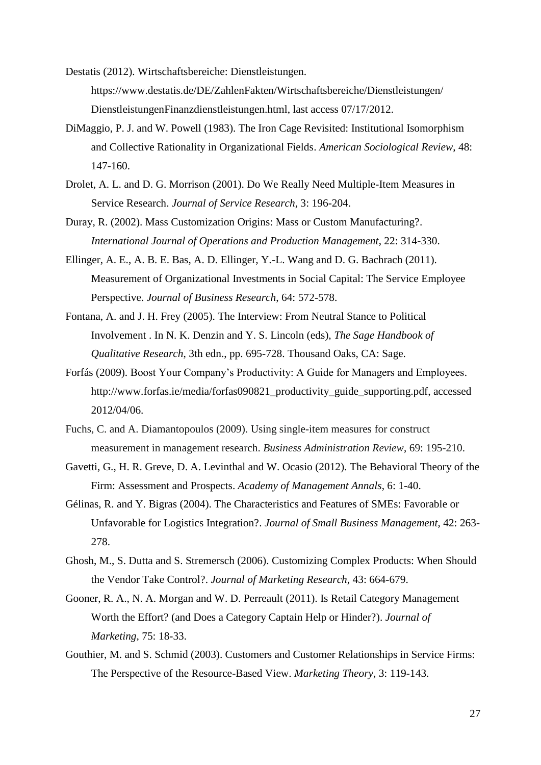Destatis (2012). Wirtschaftsbereiche: Dienstleistungen. https://www.destatis.de/DE/ZahlenFakten/Wirtschaftsbereiche/Dienstleistungen/ DienstleistungenFinanzdienstleistungen.html, last access 07/17/2012.

- DiMaggio, P. J. and W. Powell (1983). The Iron Cage Revisited: Institutional Isomorphism and Collective Rationality in Organizational Fields. *American Sociological Review*, 48: 147-160.
- Drolet, A. L. and D. G. Morrison (2001). Do We Really Need Multiple-Item Measures in Service Research. *Journal of Service Research*, 3: 196-204.
- Duray, R. (2002). Mass Customization Origins: Mass or Custom Manufacturing?. *International Journal of Operations and Production Management*, 22: 314-330.
- Ellinger, A. E., A. B. E. Bas, A. D. Ellinger, Y.-L. Wang and D. G. Bachrach (2011). Measurement of Organizational Investments in Social Capital: The Service Employee Perspective. *Journal of Business Research*, 64: 572-578.
- Fontana, A. and J. H. Frey (2005). The Interview: From Neutral Stance to Political Involvement . In N. K. Denzin and Y. S. Lincoln (eds), *The Sage Handbook of Qualitative Research*, 3th edn., pp. 695-728. Thousand Oaks, CA: Sage.
- Forfás (2009). Boost Your Company's Productivity: A Guide for Managers and Employees. http://www.forfas.ie/media/forfas090821\_productivity\_guide\_supporting.pdf, accessed 2012/04/06.
- Fuchs, C. and A. Diamantopoulos (2009). Using single-item measures for construct measurement in management research. *Business Administration Review*, 69: 195-210.
- Gavetti, G., H. R. Greve, D. A. Levinthal and W. Ocasio (2012). [The Behavioral Theory of the](http://www.tandfonline.com/doi/abs/10.1080/19416520.2012.656841)  [Firm: Assessment and Prospects.](http://www.tandfonline.com/doi/abs/10.1080/19416520.2012.656841) *[Academy of Management Annals](http://www.tandfonline.com/toc/rama20/0/0)*, 6: 1-40.
- Gélinas, R. and Y. Bigras (2004). The Characteristics and Features of SMEs: Favorable or Unfavorable for Logistics Integration?. *Journal of Small Business Management*, 42: 263- 278.
- Ghosh, M., S. Dutta and S. Stremersch (2006). Customizing Complex Products: When Should the Vendor Take Control?. *Journal of Marketing Research*, 43: 664-679.
- Gooner, R. A., N. A. Morgan and W. D. Perreault (2011). Is Retail Category Management Worth the Effort? (and Does a Category Captain Help or Hinder?). *Journal of Marketing*, 75: 18-33.
- Gouthier, M. and S. Schmid (2003). Customers and Customer Relationships in Service Firms: The Perspective of the Resource-Based View. *Marketing Theory*, 3: 119-143.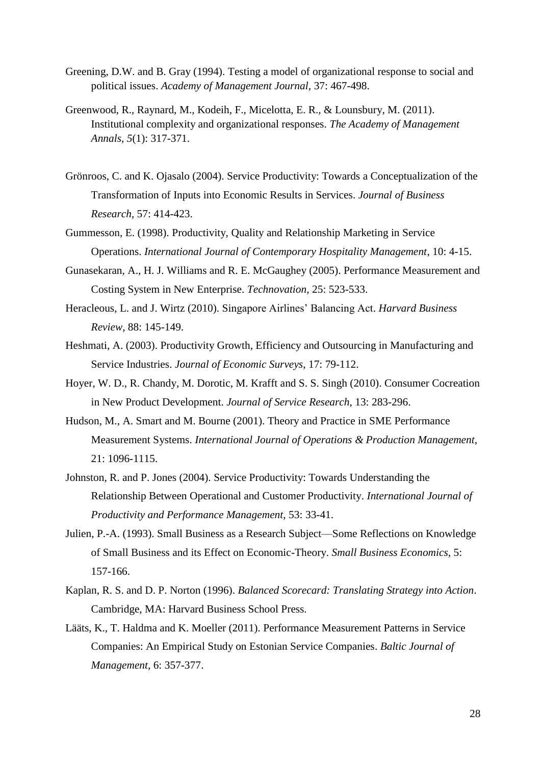- Greening, D.W. and B. Gray (1994). Testing a model of organizational response to social and political issues. *Academy of Management Journal*, 37: 467-498.
- Greenwood, R., Raynard, M., Kodeih, F., Micelotta, E. R., & Lounsbury, M. (2011). Institutional complexity and organizational responses. *The Academy of Management Annals*, *5*(1): 317-371.
- Grönroos, C. and K. Ojasalo (2004). Service Productivity: Towards a Conceptualization of the Transformation of Inputs into Economic Results in Services. *Journal of Business Research*, 57: 414-423.
- Gummesson, E. (1998). Productivity, Quality and Relationship Marketing in Service Operations. *International Journal of Contemporary Hospitality Management*, 10: 4-15.
- Gunasekaran, A., H. J. Williams and R. E. McGaughey (2005). Performance Measurement and Costing System in New Enterprise. *Technovation*, 25: 523-533.
- Heracleous, L. and J. Wirtz (2010). Singapore Airlines' Balancing Act. *Harvard Business Review*, 88: 145-149.
- Heshmati, A. (2003). Productivity Growth, Efficiency and Outsourcing in Manufacturing and Service Industries. *Journal of Economic Surveys*, 17: 79-112.
- Hoyer, W. D., R. Chandy, M. Dorotic, M. Krafft and S. S. Singh (2010). Consumer Cocreation in New Product Development. *Journal of Service Research*, 13: 283-296.
- Hudson, M., A. Smart and M. Bourne (2001). Theory and Practice in SME Performance Measurement Systems. *International Journal of Operations & Production Management*, 21: 1096-1115.
- Johnston, R. and P. Jones (2004). Service Productivity: Towards Understanding the Relationship Between Operational and Customer Productivity. *International Journal of Productivity and Performance Management*, 53: 33-41.
- Julien, P.-A. (1993). Small Business as a Research Subject—Some Reflections on Knowledge of Small Business and its Effect on Economic-Theory. *Small Business Economics*, 5: 157-166.
- Kaplan, R. S. and D. P. Norton (1996). *Balanced Scorecard: Translating Strategy into Action*. Cambridge, MA: Harvard Business School Press.
- Lääts, K., T. Haldma and K. Moeller (2011). Performance Measurement Patterns in Service Companies: An Empirical Study on Estonian Service Companies. *Baltic Journal of Management*, 6: 357-377.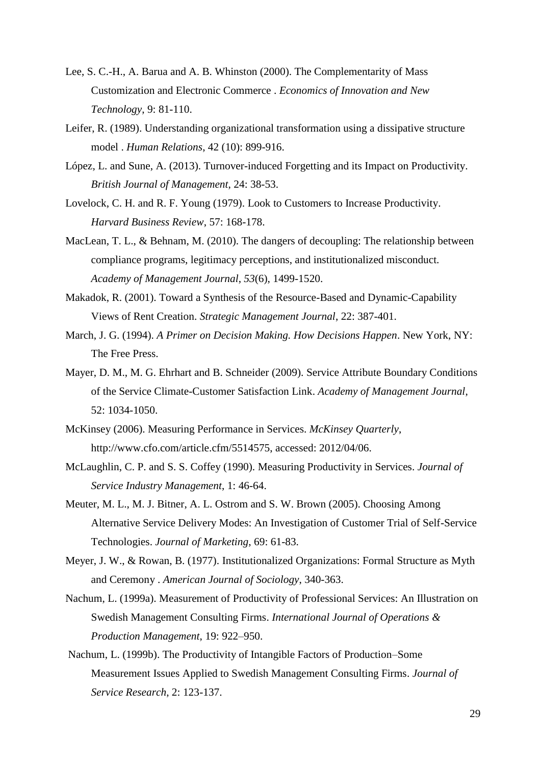- Lee, S. C.-H., A. Barua and A. B. Whinston (2000). The Complementarity of Mass Customization and Electronic Commerce . *Economics of Innovation and New Technology*, 9: 81-110.
- Leifer, R. (1989). Understanding organizational transformation using a dissipative structure model . *Human Relations*, 42 (10): 899-916.
- López, L. and Sune, A. (2013). Turnover-induced Forgetting and its Impact on Productivity. *British Journal of Management*, 24: 38-53.
- Lovelock, C. H. and R. F. Young (1979). Look to Customers to Increase Productivity. *Harvard Business Review*, 57: 168-178.
- MacLean, T. L., & Behnam, M. (2010). The dangers of decoupling: The relationship between compliance programs, legitimacy perceptions, and institutionalized misconduct. *Academy of Management Journal*, *53*(6), 1499-1520.
- Makadok, R. (2001). Toward a Synthesis of the Resource-Based and Dynamic-Capability Views of Rent Creation. *Strategic Management Journal*, 22: 387-401.
- March, J. G. (1994). *A Primer on Decision Making. How Decisions Happen*. New York, NY: The Free Press.
- Mayer, D. M., M. G. Ehrhart and B. Schneider (2009). Service Attribute Boundary Conditions of the Service Climate-Customer Satisfaction Link. *Academy of Management Journal*, 52: 1034-1050.
- McKinsey (2006). Measuring Performance in Services. *McKinsey Quarterly*, http://www.cfo.com/article.cfm/5514575, accessed: 2012/04/06.
- McLaughlin, C. P. and S. S. Coffey (1990). Measuring Productivity in Services. *Journal of Service Industry Management*, 1: 46-64.
- Meuter, M. L., M. J. Bitner, A. L. Ostrom and S. W. Brown (2005). Choosing Among Alternative Service Delivery Modes: An Investigation of Customer Trial of Self-Service Technologies. *Journal of Marketing*, 69: 61-83.
- Meyer, J. W., & Rowan, B. (1977). Institutionalized Organizations: Formal Structure as Myth and Ceremony . *American Journal of Sociology*, 340-363.
- Nachum, L. (1999a). Measurement of Productivity of Professional Services: An Illustration on Swedish Management Consulting Firms. *International Journal of Operations & Production Management*, 19: 922–950.
- Nachum, L. (1999b). The Productivity of Intangible Factors of Production–Some Measurement Issues Applied to Swedish Management Consulting Firms. *Journal of Service Research*, 2: 123-137.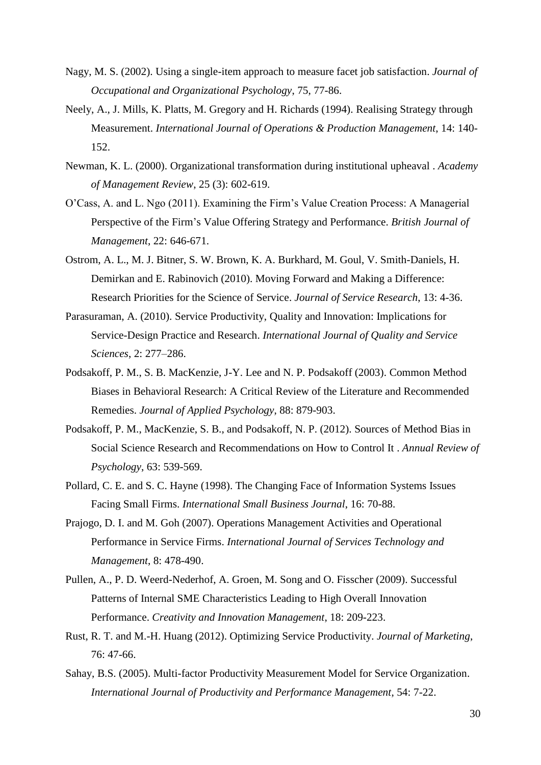- Nagy, M. S. (2002). Using a single-item approach to measure facet job satisfaction. *Journal of Occupational and Organizational Psychology*, 75, 77-86.
- Neely, A., J. Mills, K. Platts, M. Gregory and H. Richards (1994). Realising Strategy through Measurement. *International Journal of Operations & Production Management*, 14: 140- 152.
- Newman, K. L. (2000). Organizational transformation during institutional upheaval . *Academy of Management Review*, 25 (3): 602-619.
- O'Cass, A. and L. Ngo (2011). Examining the Firm's Value Creation Process: A Managerial Perspective of the Firm's Value Offering Strategy and Performance. *British Journal of Management*, 22: 646-671.
- Ostrom, A. L., M. J. Bitner, S. W. Brown, K. A. Burkhard, M. Goul, V. Smith-Daniels, H. Demirkan and E. Rabinovich (2010). Moving Forward and Making a Difference: Research Priorities for the Science of Service. *Journal of Service Research*, 13: 4-36.
- Parasuraman, A. (2010). Service Productivity, Quality and Innovation: Implications for Service-Design Practice and Research. *International Journal of Quality and Service Sciences*, 2: 277–286.
- Podsakoff, P. M., S. B. MacKenzie, J-Y. Lee and N. P. Podsakoff (2003). Common Method Biases in Behavioral Research: A Critical Review of the Literature and Recommended Remedies. *Journal of Applied Psychology*, 88: 879-903.
- Podsakoff, P. M., MacKenzie, S. B., and Podsakoff, N. P. (2012). Sources of Method Bias in Social Science Research and Recommendations on How to Control It . *Annual Review of Psychology*, 63: 539-569.
- Pollard, C. E. and S. C. Hayne (1998). The Changing Face of Information Systems Issues Facing Small Firms. *International Small Business Journal*, 16: 70-88.
- Prajogo, D. I. and M. Goh (2007). Operations Management Activities and Operational Performance in Service Firms. *International Journal of Services Technology and Management*, 8: 478-490.
- Pullen, A., P. D. Weerd-Nederhof, A. Groen, M. Song and O. Fisscher (2009). Successful Patterns of Internal SME Characteristics Leading to High Overall Innovation Performance. *Creativity and Innovation Management*, 18: 209-223.
- Rust, R. T. and M.-H. Huang (2012). Optimizing Service Productivity. *Journal of Marketing*, 76: 47-66.
- Sahay, B.S. (2005). Multi-factor Productivity Measurement Model for Service Organization. *International Journal of Productivity and Performance Management*, 54: 7-22.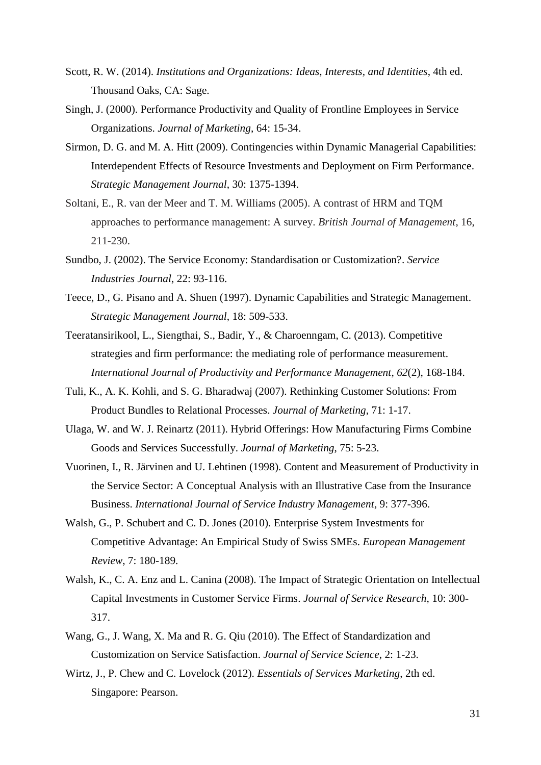- Scott, R. W. (2014). *Institutions and Organizations: Ideas, Interests, and Identities*, 4th ed. Thousand Oaks, CA: Sage.
- Singh, J. (2000). Performance Productivity and Quality of Frontline Employees in Service Organizations. *Journal of Marketing*, 64: 15-34.
- Sirmon, D. G. and M. A. Hitt (2009). Contingencies within Dynamic Managerial Capabilities: Interdependent Effects of Resource Investments and Deployment on Firm Performance. *Strategic Management Journal*, 30: 1375-1394.
- Soltani, E., R. van der Meer and T. M. Williams (2005). A contrast of HRM and TQM approaches to performance management: A survey. *British Journal of Management*, 16, 211-230.
- Sundbo, J. (2002). The Service Economy: Standardisation or Customization?. *Service Industries Journal*, 22: 93-116.
- Teece, D., G. Pisano and A. Shuen (1997). Dynamic Capabilities and Strategic Management. *Strategic Management Journal*, 18: 509-533.
- Teeratansirikool, L., Siengthai, S., Badir, Y., & Charoenngam, C. (2013). Competitive strategies and firm performance: the mediating role of performance measurement. *International Journal of Productivity and Performance Management*, *62*(2), 168-184.
- Tuli, K., A. K. Kohli, and S. G. Bharadwaj (2007). Rethinking Customer Solutions: From Product Bundles to Relational Processes. *Journal of Marketing*, 71: 1-17.
- Ulaga, W. and W. J. Reinartz (2011). Hybrid Offerings: How Manufacturing Firms Combine Goods and Services Successfully. *Journal of Marketing*, 75: 5-23.
- Vuorinen, I., R. Järvinen and U. Lehtinen (1998). Content and Measurement of Productivity in the Service Sector: A Conceptual Analysis with an Illustrative Case from the Insurance Business. *International Journal of Service Industry Management*, 9: 377-396.
- Walsh, G., P. Schubert and C. D. Jones (2010). Enterprise System Investments for Competitive Advantage: An Empirical Study of Swiss SMEs. *European Management Review*, 7: 180-189.
- Walsh, K., C. A. Enz and L. Canina (2008). The Impact of Strategic Orientation on Intellectual Capital Investments in Customer Service Firms. *Journal of Service Research*, 10: 300- 317.
- Wang, G., J. Wang, X. Ma and R. G. Qiu (2010). The Effect of Standardization and Customization on Service Satisfaction. *Journal of Service Science*, 2: 1-23.
- Wirtz, J., P. Chew and C. Lovelock (2012). *Essentials of Services Marketing*, 2th ed. Singapore: Pearson.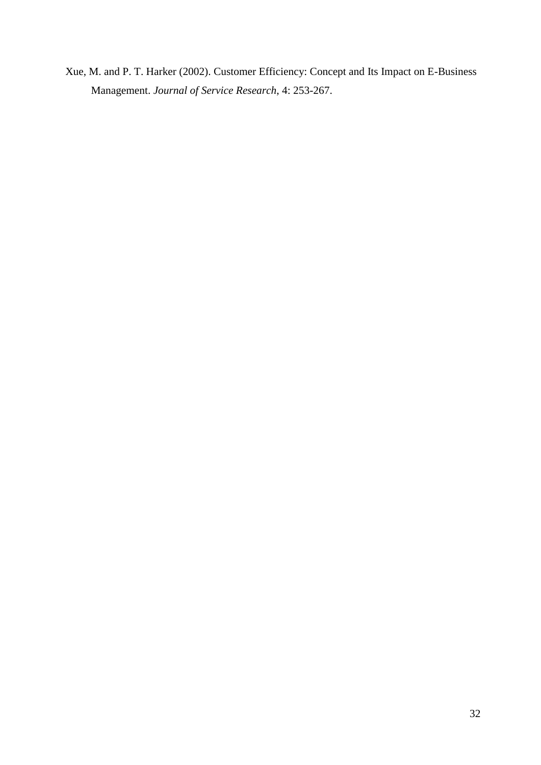Xue, M. and P. T. Harker (2002). Customer Efficiency: Concept and Its Impact on E-Business Management. *Journal of Service Research*, 4: 253-267.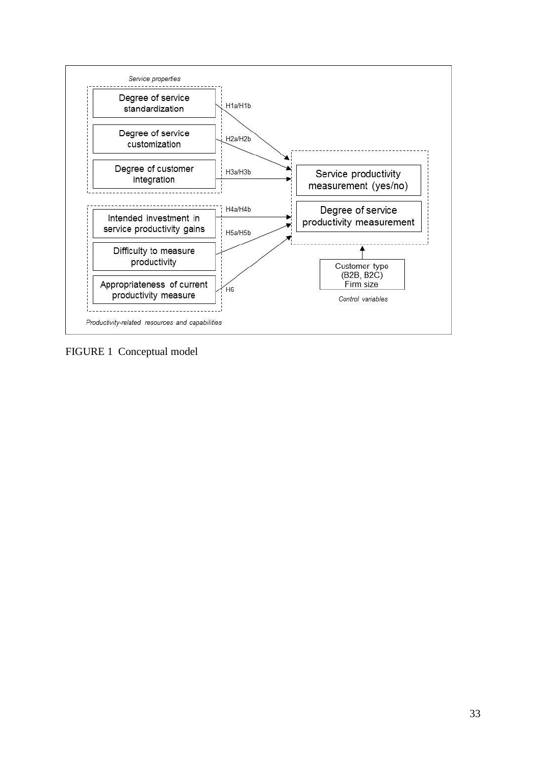

FIGURE 1 Conceptual model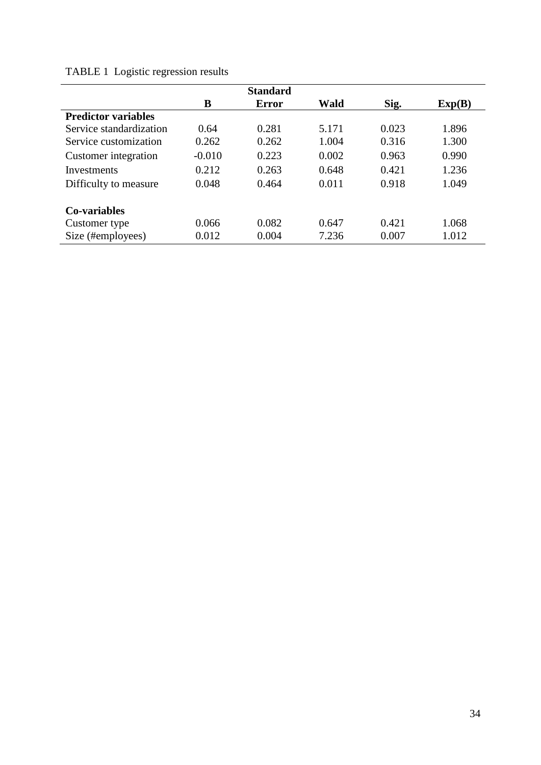|                            |          | <b>Standard</b> |       |       |        |  |
|----------------------------|----------|-----------------|-------|-------|--------|--|
|                            | B        | Error           | Wald  | Sig.  | Exp(B) |  |
| <b>Predictor variables</b> |          |                 |       |       |        |  |
| Service standardization    | 0.64     | 0.281           | 5.171 | 0.023 | 1.896  |  |
| Service customization      | 0.262    | 0.262           | 1.004 | 0.316 | 1.300  |  |
| Customer integration       | $-0.010$ | 0.223           | 0.002 | 0.963 | 0.990  |  |
| Investments                | 0.212    | 0.263           | 0.648 | 0.421 | 1.236  |  |
| Difficulty to measure      | 0.048    | 0.464           | 0.011 | 0.918 | 1.049  |  |
| Co-variables               |          |                 |       |       |        |  |
| Customer type              | 0.066    | 0.082           | 0.647 | 0.421 | 1.068  |  |
| Size (#employees)          | 0.012    | 0.004           | 7.236 | 0.007 | 1.012  |  |

# TABLE 1 Logistic regression results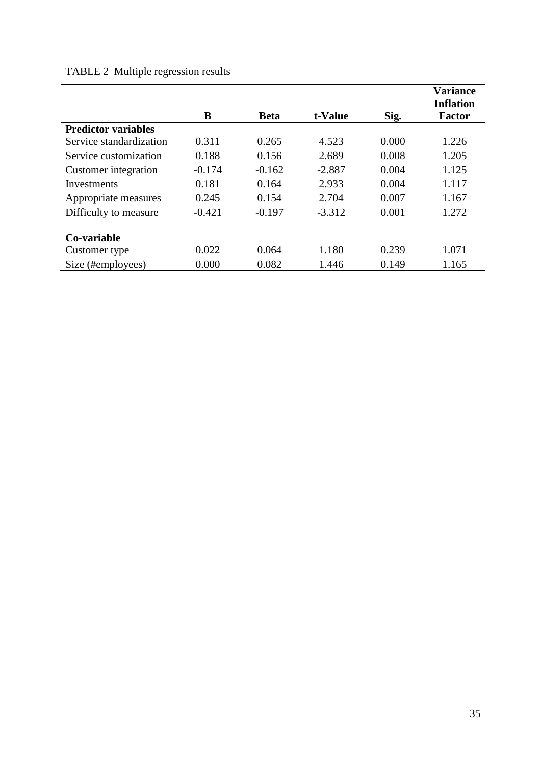# TABLE 2 Multiple regression results

|                            | B        | <b>Beta</b> | t-Value  | Sig.  | <b>Variance</b><br><b>Inflation</b><br><b>Factor</b> |
|----------------------------|----------|-------------|----------|-------|------------------------------------------------------|
| <b>Predictor variables</b> |          |             |          |       |                                                      |
| Service standardization    | 0.311    | 0.265       | 4.523    | 0.000 | 1.226                                                |
| Service customization      | 0.188    | 0.156       | 2.689    | 0.008 | 1.205                                                |
| Customer integration       | $-0.174$ | $-0.162$    | $-2.887$ | 0.004 | 1.125                                                |
| <b>Investments</b>         | 0.181    | 0.164       | 2.933    | 0.004 | 1.117                                                |
| Appropriate measures       | 0.245    | 0.154       | 2.704    | 0.007 | 1.167                                                |
| Difficulty to measure      | $-0.421$ | $-0.197$    | $-3.312$ | 0.001 | 1.272                                                |
| Co-variable                |          |             |          |       |                                                      |
| Customer type              | 0.022    | 0.064       | 1.180    | 0.239 | 1.071                                                |
| Size (#employees)          | 0.000    | 0.082       | 1.446    | 0.149 | 1.165                                                |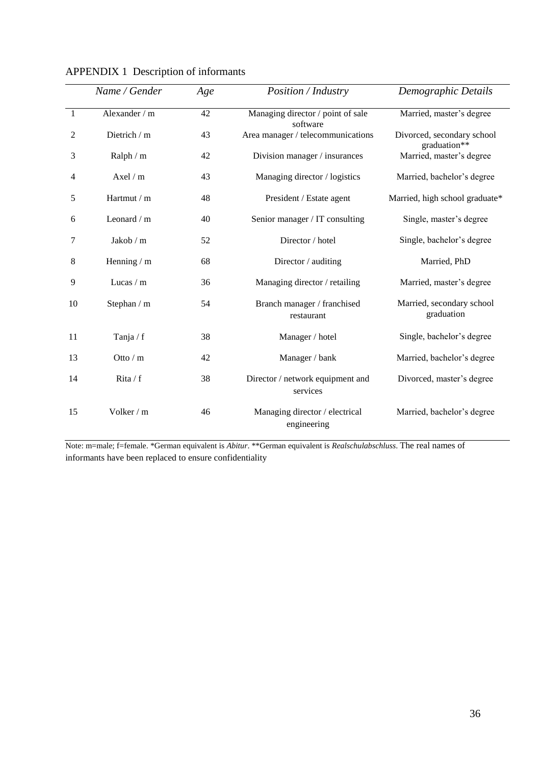|              | Name / Gender | Age | Position / Industry                           | Demographic Details                        |
|--------------|---------------|-----|-----------------------------------------------|--------------------------------------------|
| $\mathbf{1}$ | Alexander / m | 42  | Managing director / point of sale<br>software | Married, master's degree                   |
| 2            | Dietrich / m  | 43  | Area manager / telecommunications             | Divorced, secondary school<br>graduation** |
| 3            | Ralph / m     | 42  | Division manager / insurances                 | Married, master's degree                   |
| 4            | Axel / m      | 43  | Managing director / logistics                 | Married, bachelor's degree                 |
| 5            | Hartmut / m   | 48  | President / Estate agent                      | Married, high school graduate*             |
| 6            | Leonard / m   | 40  | Senior manager / IT consulting                | Single, master's degree                    |
| 7            | Jakob $/m$    | 52  | Director / hotel                              | Single, bachelor's degree                  |
| 8            | Henning / m   | 68  | Director / auditing                           | Married, PhD                               |
| 9            | Lucas $/m$    | 36  | Managing director / retailing                 | Married, master's degree                   |
| 10           | Stephan / m   | 54  | Branch manager / franchised<br>restaurant     | Married, secondary school<br>graduation    |
| 11           | Tanja / $f$   | 38  | Manager / hotel                               | Single, bachelor's degree                  |
| 13           | Otto $/m$     | 42  | Manager / bank                                | Married, bachelor's degree                 |
| 14           | Rita $/f$     | 38  | Director / network equipment and<br>services  | Divorced, master's degree                  |
| 15           | Volker / m    | 46  | Managing director / electrical<br>engineering | Married, bachelor's degree                 |

APPENDIX 1 Description of informants

Note: m=male; f=female. \*German equivalent is *Abitur*. \*\*German equivalent is *Realschulabschluss*. The real names of informants have been replaced to ensure confidentiality